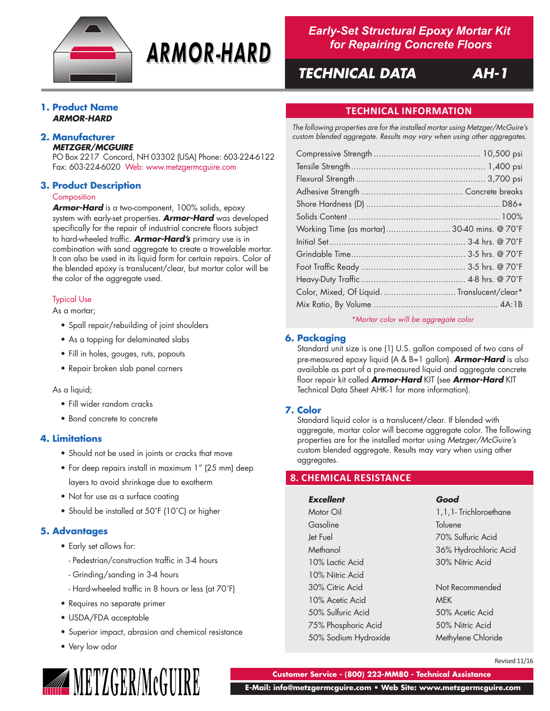

# **ARMOR-HARD**

*Early-Set Structural Epoxy Mortar Kit for Repairing Concrete Floors*

# *TECHNICAL DATA AH-1*

# **1. Product Name** *ARMOR-HARD*

### **2. Manufacturer** *METZGER/MCGUIRE*

PO Box 2217 Concord, NH 03302 (USA) Phone: 603-224-6122 Fax: 603-224-6020 Web: www.metzgermcguire.com

# **3. Product Description**

### **Composition**

*Armor-Hard* is a two-component, 100% solids, epoxy system with early-set properties. *Armor-Hard* was developed specifically for the repair of industrial concrete floors subject to hard-wheeled traffic. *Armor-Hard's* primary use is in combination with sand aggregate to create a trowelable mortar. It can also be used in its liquid form for certain repairs. Color of the blended epoxy is translucent/clear, but mortar color will be the color of the aggregate used.

# Typical Use

As a mortar;

- Spall repair/rebuilding of joint shoulders
- As a topping for delaminated slabs
- Fill in holes, gouges, ruts, popouts
- Repair broken slab panel corners

# As a liquid;

- Fill wider random cracks
- Bond concrete to concrete

# **4. Limitations**

- Should not be used in joints or cracks that move
- For deep repairs install in maximum 1" (25 mm) deep layers to avoid shrinkage due to exotherm
- Not for use as a surface coating
- Should be installed at 50˚F (10˚C) or higher

# **5. Advantages**

- Early set allows for:
	- Pedestrian/construction traffic in 3-4 hours
	- Grinding/sanding in 3-4 hours
	- Hard-wheeled traffic in 8 hours or less (at 70˚F)
- Requires no separate primer
- USDA/FDA acceptable
- Superior impact, abrasion and chemical resistance
- Very low odor



# **TECHNICAL INFORMATION**

*The following properties are for the installed mortar using Metzger/McGuire's custom blended aggregate. Results may vary when using other aggregates.*

| Working Time (as mortar) 30-40 mins. @ 70°F |  |
|---------------------------------------------|--|
|                                             |  |
|                                             |  |
|                                             |  |
|                                             |  |
| Color, Mixed, Of Liquid Translucent/clear*  |  |
|                                             |  |
|                                             |  |

*\*Mortar color will be aggregate color*

# **6. Packaging**

Standard unit size is one (1) U.S. gallon composed of two cans of pre-measured epoxy liquid (A & B=1 gallon). *Armor-Hard* is also available as part of a pre-measured liquid and aggregate concrete floor repair kit called *Armor-Hard* KIT (see *Armor-Hard* KIT Technical Data Sheet AHK-1 for more information).

# **7. Color**

Standard liquid color is a translucent/clear. If blended with aggregate, mortar color will become aggregate color. The following properties are for the installed mortar using *Metzger/McGuire's* custom blended aggregate. Results may vary when using other aggregates.

# **8. CHEMICAL RESISTANCE**

*Excellent Good* Motor Oil 2008 1, 1, 1, 1.1- Trichloroethane Gasoline Toluene Jet Fuel 70% Sulfuric Acid Methanol 36% Hydrochloric Acid 10% Lactic Acid 30% Nitric Acid 10% Nitric Acid 30% Citric Acid Not Recommended 10% Acetic Acid MEK 50% Sulfuric Acid 50% Acetic Acid 75% Phosphoric Acid 50% Nitric Acid 50% Sodium Hydroxide Methylene Chloride

Revised 11/16

**Customer Service - (800) 223-MM80 - Technical Assistance**

 **E-Mail: info@metzgermcguire.com • Web Site: www.metzgermcguire.com**